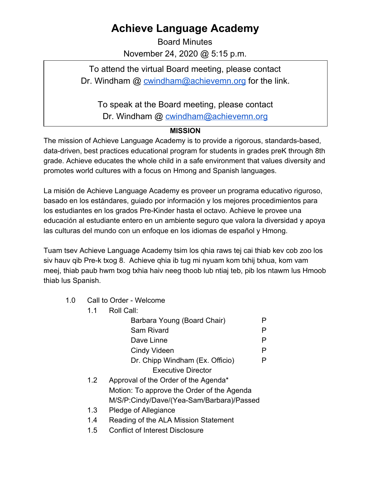## **Achieve Language Academy**

Board Minutes November 24, 2020 @ 5:15 p.m.

To attend the virtual Board meeting, please contact Dr. Windham @ [cwindham@achievemn.org](mailto:cwindham@achievemn.org) for the link.

To speak at the Board meeting, please contact

Dr. Windham @ [cwindham@achievemn.org](mailto:cwindham@achievemn.org)

## **MISSION**

The mission of Achieve Language Academy is to provide a rigorous, standards-based, data-driven, best practices educational program for students in grades preK through 8th grade. Achieve educates the whole child in a safe environment that values diversity and promotes world cultures with a focus on Hmong and Spanish languages.

La misión de Achieve Language Academy es proveer un programa educativo riguroso, basado en los estándares, guiado por información y los mejores procedimientos para los estudiantes en los grados Pre-Kinder hasta el octavo. Achieve le provee una educación al estudiante entero en un ambiente seguro que valora la diversidad y apoya las culturas del mundo con un enfoque en los idiomas de español y Hmong.

Tuam tsev Achieve Language Academy tsim los qhia raws tej cai thiab kev cob zoo los siv hauv qib Pre-k txog 8. Achieve qhia ib tug mi nyuam kom txhij txhua, kom vam meej, thiab paub hwm txog txhia haiv neeg thoob lub ntiaj teb, pib los ntawm lus Hmoob thiab lus Spanish.

1.0 Call to Order - Welcome

| 1.1 | Roll Call:                                 |   |
|-----|--------------------------------------------|---|
|     | Barbara Young (Board Chair)                | Р |
|     | <b>Sam Rivard</b>                          | Р |
|     | Dave Linne                                 | Р |
|     | <b>Cindy Videen</b>                        | Р |
|     | Dr. Chipp Windham (Ex. Officio)            | Р |
|     | <b>Executive Director</b>                  |   |
| 1.2 | Approval of the Order of the Agenda*       |   |
|     | Motion: To approve the Order of the Agenda |   |
|     | M/S/P:Cindy/Dave/(Yea-Sam/Barbara)/Passed  |   |
| 1.3 | Pledge of Allegiance                       |   |
| 1.4 | Reading of the ALA Mission Statement       |   |

1.5 Conflict of Interest Disclosure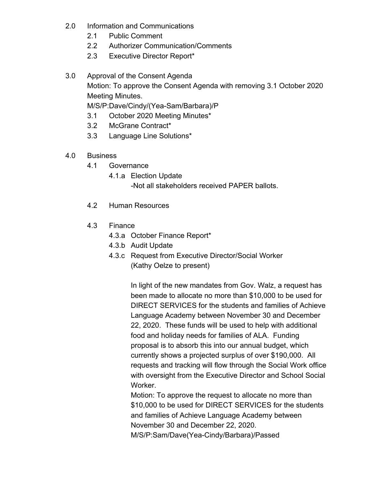- 2.0 Information and Communications
	- 2.1 Public Comment
	- 2.2 Authorizer Communication/Comments
	- 2.3 Executive Director Report\*
- 3.0 Approval of the Consent Agenda Motion: To approve the Consent Agenda with removing 3.1 October 2020 Meeting Minutes. M/S/P:Dave/Cindy/(Yea-Sam/Barbara)/P

3.1 October 2020 Meeting Minutes\*

- 3.2 McGrane Contract\*
- 3.3 Language Line Solutions\*
- 4.0 Business
	- 4.1 Governance
		- 4.1.a Election Update
			- -Not all stakeholders received PAPER ballots.
	- 4.2 Human Resources
	- 4.3 Finance
		- 4.3.a October Finance Report\*
		- 4.3.b Audit Update
		- 4.3.c Request from Executive Director/Social Worker (Kathy Oelze to present)

In light of the new mandates from Gov. Walz, a request has been made to allocate no more than \$10,000 to be used for DIRECT SERVICES for the students and families of Achieve Language Academy between November 30 and December 22, 2020. These funds will be used to help with additional food and holiday needs for families of ALA. Funding proposal is to absorb this into our annual budget, which currently shows a projected surplus of over \$190,000. All requests and tracking will flow through the Social Work office with oversight from the Executive Director and School Social Worker.

Motion: To approve the request to allocate no more than \$10,000 to be used for DIRECT SERVICES for the students and families of Achieve Language Academy between November 30 and December 22, 2020.

M/S/P:Sam/Dave(Yea-Cindy/Barbara)/Passed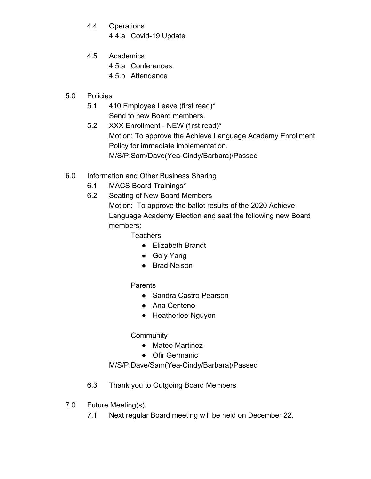- 4.4 Operations
	- 4.4.a Covid-19 Update
- 4.5 Academics
	- 4.5.a Conferences
	- 4.5.b Attendance
- 5.0 Policies
	- 5.1 410 Employee Leave (first read)\* Send to new Board members.
	- 5.2 XXX Enrollment NEW (first read)\* Motion: To approve the Achieve Language Academy Enrollment Policy for immediate implementation. M/S/P:Sam/Dave(Yea-Cindy/Barbara)/Passed
- 6.0 Information and Other Business Sharing
	- 6.1 MACS Board Trainings\*
	- 6.2 Seating of New Board Members Motion: To approve the ballot results of the 2020 Achieve Language Academy Election and seat the following new Board members:

**Teachers** 

- Elizabeth Brandt
- Goly Yang
- Brad Nelson

## **Parents**

- Sandra Castro Pearson
- Ana Centeno
- Heatherlee-Nguyen

## **Community**

- Mateo Martinez
- Ofir Germanic

M/S/P:Dave/Sam(Yea-Cindy/Barbara)/Passed

- 6.3 Thank you to Outgoing Board Members
- 7.0 Future Meeting(s)
	- 7.1 Next regular Board meeting will be held on December 22.